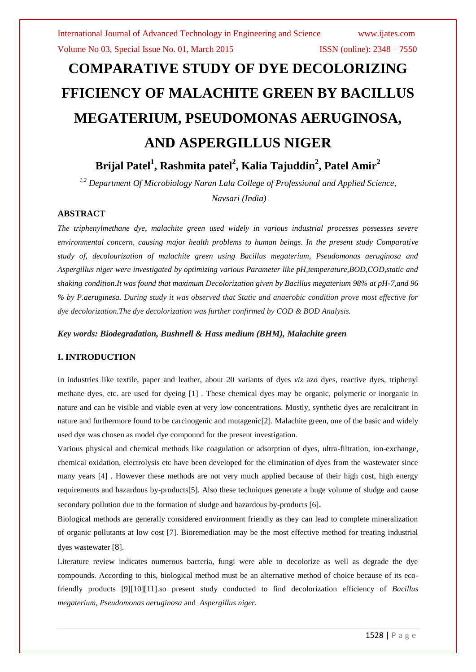# **COMPARATIVE STUDY OF DYE DECOLORIZING FFICIENCY OF MALACHITE GREEN BY BACILLUS MEGATERIUM, PSEUDOMONAS AERUGINOSA, AND ASPERGILLUS NIGER**

**Brijal Patel<sup>1</sup> , Rashmita patel<sup>2</sup> , Kalia Tajuddin<sup>2</sup> , Patel Amir<sup>2</sup>**

*1,2 Department Of Microbiology Naran Lala College of Professional and Applied Science,*

*Navsari (India)*

# **ABSTRACT**

*The triphenylmethane dye, malachite green used widely in various industrial processes possesses severe environmental concern, causing major health problems to human beings. In the present study Comparative study of, decolourization of malachite green using Bacillus megaterium, Pseudomonas aeruginosa and Aspergillus niger were investigated by optimizing various Parameter like pH,temperature,BOD,COD,static and shaking condition.It was found that maximum Decolorization given by Bacillus megaterium 98% at pH-7,and 96 % by P.aeruginesa. During study it was observed that Static and anaerobic condition prove most effective for dye decolorization.The dye decolorization was further confirmed by COD & BOD Analysis.*

*Key words: Biodegradation, Bushnell & Hass medium (BHM), Malachite green*

# **I. INTRODUCTION**

In industries like textile, paper and leather, about 20 variants of dyes *viz* azo dyes, reactive dyes, triphenyl methane dyes, etc. are used for dyeing [1] . These chemical dyes may be organic, polymeric or inorganic in nature and can be visible and viable even at very low concentrations. Mostly, synthetic dyes are recalcitrant in nature and furthermore found to be carcinogenic and mutagenic[2]. Malachite green, one of the basic and widely used dye was chosen as model dye compound for the present investigation.

Various physical and chemical methods like coagulation or adsorption of dyes, ultra-filtration, ion-exchange, chemical oxidation, electrolysis etc have been developed for the elimination of dyes from the wastewater since many years [4] . However these methods are not very much applied because of their high cost, high energy requirements and hazardous by-products[5]. Also these techniques generate a huge volume of sludge and cause secondary pollution due to the formation of sludge and hazardous by-products [6].

Biological methods are generally considered environment friendly as they can lead to complete mineralization of organic pollutants at low cost [7]. Bioremediation may be the most effective method for treating industrial dyes wastewater [8].

Literature review indicates numerous bacteria, fungi were able to decolorize as well as degrade the dye compounds. According to this, biological method must be an alternative method of choice because of its ecofriendly products [9][10][11].so present study conducted to find decolorization efficiency of *Bacillus megaterium, Pseudomonas aeruginosa* and *Aspergillus niger.*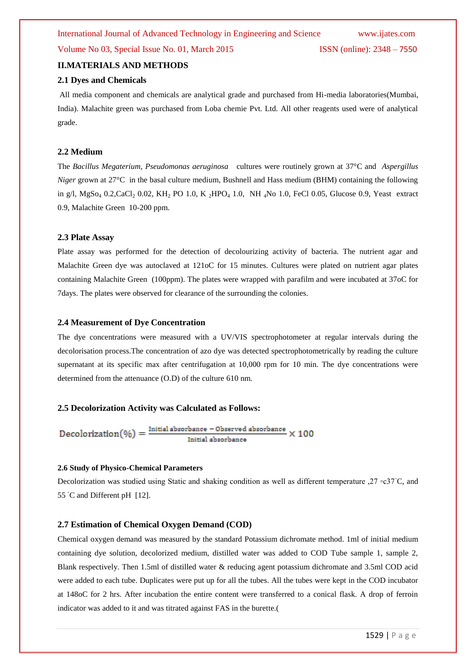# **II.MATERIALS AND METHODS**

#### **2.1 Dyes and Chemicals**

All media component and chemicals are analytical grade and purchased from Hi-media laboratories(Mumbai, India). Malachite green was purchased from Loba chemie Pvt. Ltd. All other reagents used were of analytical grade.

#### **2.2 Medium**

The *Bacillus Megaterium, Pseudomonas aeruginosa* cultures were routinely grown at 37°C and *Aspergillus Niger* grown at 27<sup>°</sup>C in the basal culture medium, Bushnell and Hass medium (BHM) containing the following in g/l, MgSo<sub>4</sub> 0.2,CaCl<sub>2</sub> 0.02, KH<sub>2</sub> PO 1.0, K <sub>2</sub>HPO<sub>4</sub> 1.0, NH <sub>4</sub>No 1.0, FeCl 0.05, Glucose 0.9, Yeast extract 0.9, Malachite Green 10-200 ppm.

#### **2.3 Plate Assay**

Plate assay was performed for the detection of decolourizing activity of bacteria. The nutrient agar and Malachite Green dye was autoclaved at 121oC for 15 minutes. Cultures were plated on nutrient agar plates containing Malachite Green (100ppm). The plates were wrapped with parafilm and were incubated at 37oC for 7days. The plates were observed for clearance of the surrounding the colonies.

#### **2.4 Measurement of Dye Concentration**

The dye concentrations were measured with a UV/VIS spectrophotometer at regular intervals during the decolorisation process.The concentration of azo dye was detected spectrophotometrically by reading the culture supernatant at its specific max after centrifugation at 10,000 rpm for 10 min. The dye concentrations were determined from the attenuance (O.D) of the culture 610 nm.

### **2.5 Decolorization Activity was Calculated as Follows:**

$$
Decolorization(\%) = \frac{Initial\; absorbance - Observed\; absorbance}{Initial\; absorbance} \times 100
$$

#### **2.6 Study of Physico-Chemical Parameters**

Decolorization was studied using Static and shaking condition as well as different temperature ,27 ◦c37◦C, and 55 °C and Different pH [12].

### **2.7 Estimation of Chemical Oxygen Demand (COD)**

Chemical oxygen demand was measured by the standard Potassium dichromate method. 1ml of initial medium containing dye solution, decolorized medium, distilled water was added to COD Tube sample 1, sample 2, Blank respectively. Then 1.5ml of distilled water & reducing agent potassium dichromate and 3.5ml COD acid were added to each tube. Duplicates were put up for all the tubes. All the tubes were kept in the COD incubator at 148oC for 2 hrs. After incubation the entire content were transferred to a conical flask. A drop of ferroin indicator was added to it and was titrated against FAS in the burette.(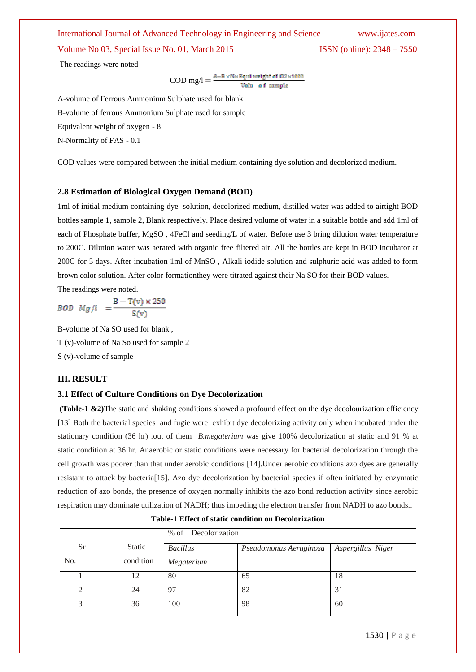Volume No 03, Special Issue No. 01, March 2015 ISSN (online): 2348 – 7550

The readings were noted

 $\text{COD mg/l} = \frac{\text{A-B} \times \text{N} \times \text{Equi weight of } 0.2 \times 1000}{\text{Volu of sample}}$ 

A-volume of Ferrous Ammonium Sulphate used for blank B-volume of ferrous Ammonium Sulphate used for sample Equivalent weight of oxygen - 8 N-Normality of FAS - 0.1

COD values were compared between the initial medium containing dye solution and decolorized medium.

#### **2.8 Estimation of Biological Oxygen Demand (BOD)**

1ml of initial medium containing dye solution, decolorized medium, distilled water was added to airtight BOD bottles sample 1, sample 2, Blank respectively. Place desired volume of water in a suitable bottle and add 1ml of each of Phosphate buffer, MgSO , 4FeCl and seeding/L of water. Before use 3 bring dilution water temperature to 200C. Dilution water was aerated with organic free filtered air. All the bottles are kept in BOD incubator at 200C for 5 days. After incubation 1ml of MnSO , Alkali iodide solution and sulphuric acid was added to form brown color solution. After color formationthey were titrated against their Na SO for their BOD values.

The readings were noted.

 $BOD \, Mg/l = \frac{B - T(v) \times 250}{S(v)}$ 

B-volume of Na SO used for blank , T (v)-volume of Na So used for sample 2 S (v)-volume of sample

### **III. RESULT**

#### **3.1 Effect of Culture Conditions on Dye Decolorization**

**(Table-1 &2)**The static and shaking conditions showed a profound effect on the dye decolourization efficiency [13] Both the bacterial species and fugie were exhibit dye decolorizing activity only when incubated under the stationary condition (36 hr) .out of them *B.megaterium* was give 100% decolorization at static and 91 % at static condition at 36 hr. Anaerobic or static conditions were necessary for bacterial decolorization through the cell growth was poorer than that under aerobic conditions [14].Under aerobic conditions azo dyes are generally resistant to attack by bacteria[15]. Azo dye decolorization by bacterial species if often initiated by enzymatic reduction of azo bonds, the presence of oxygen normally inhibits the azo bond reduction activity since aerobic respiration may dominate utilization of NADH; thus impeding the electron transfer from NADH to azo bonds..

|           |           | % of Decolorization |                        |                   |  |
|-----------|-----------|---------------------|------------------------|-------------------|--|
| <b>Sr</b> | Static    | <b>Bacillus</b>     | Pseudomonas Aeruginosa | Aspergillus Niger |  |
| No.       | condition | Megaterium          |                        |                   |  |
|           | 12        | 80                  | 65                     | 18                |  |
| 2         | 24        | 97                  | 82                     | 31                |  |
| 3         | 36        | 100                 | 98                     | 60                |  |

|  |  | <b>Table-1 Effect of static condition on Decolorization</b> |
|--|--|-------------------------------------------------------------|
|  |  |                                                             |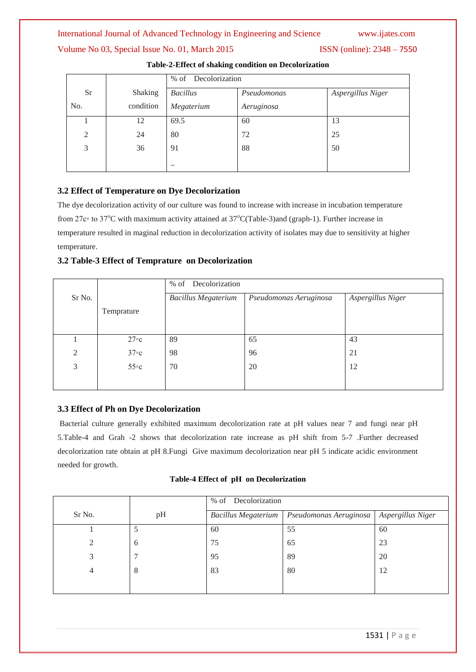# Volume No 03, Special Issue No. 01, March 2015 ISSN (online): 2348 – 7550

|           |           | % of Decolorization |             |                   |  |
|-----------|-----------|---------------------|-------------|-------------------|--|
| <b>Sr</b> | Shaking   | <b>Bacillus</b>     | Pseudomonas | Aspergillus Niger |  |
| No.       | condition | Megaterium          | Aeruginosa  |                   |  |
|           | 12        | 69.5                | 60          | 13                |  |
| 2         | 24        | 80                  | 72          | 25                |  |
| 3         | 36        | 91                  | 88          | 50                |  |
|           |           |                     |             |                   |  |

#### **Table-2-Effect of shaking condition on Decolorization**

# **3.2 Effect of Temperature on Dye Decolorization**

The dye decolorization activity of our culture was found to increase with increase in incubation temperature from 27c∘ to 37<sup>o</sup>C with maximum activity attained at 37<sup>o</sup>C(Table-3)and (graph-1). Further increase in temperature resulted in maginal reduction in decolorization activity of isolates may due to sensitivity at higher temperature.

# **3.2 Table-3 Effect of Temprature on Decolorization**

|                |                   | Decolorization<br>$%$ of   |                        |                   |  |  |  |
|----------------|-------------------|----------------------------|------------------------|-------------------|--|--|--|
| Sr No.         |                   | <b>Bacillus Megaterium</b> | Pseudomonas Aeruginosa | Aspergillus Niger |  |  |  |
|                | Temprature        |                            |                        |                   |  |  |  |
|                |                   |                            |                        |                   |  |  |  |
|                | $27 \circ c$      | 89                         | 65                     | 43                |  |  |  |
| $\overline{2}$ | $37\degree c$     | 98                         | 96                     | 21                |  |  |  |
| 3              | $55\textdegree c$ | 70                         | 20                     | 12                |  |  |  |
|                |                   |                            |                        |                   |  |  |  |

# **3.3 Effect of Ph on Dye Decolorization**

Bacterial culture generally exhibited maximum decolorization rate at pH values near 7 and fungi near pH 5.Table-4 and Grah -2 shows that decolorization rate increase as pH shift from 5-7 .Further decreased decolorization rate obtain at pH 8.Fungi Give maximum decolorization near pH 5 indicate acidic environment needed for growth.

|  |  |  | Table-4 Effect of pH on Decolorization |
|--|--|--|----------------------------------------|
|--|--|--|----------------------------------------|

|                |    | Decolorization<br>$%$ of |                                            |    |  |
|----------------|----|--------------------------|--------------------------------------------|----|--|
| Sr No.         | pH | Bacillus Megaterium      | Pseudomonas Aeruginosa   Aspergillus Niger |    |  |
|                |    | 60                       | 55                                         | 60 |  |
| $\mathfrak{D}$ | 6  | 75                       | 65                                         | 23 |  |
| 3              |    | 95                       | 89                                         | 20 |  |
| 4              | 8  | 83                       | 80                                         | 12 |  |
|                |    |                          |                                            |    |  |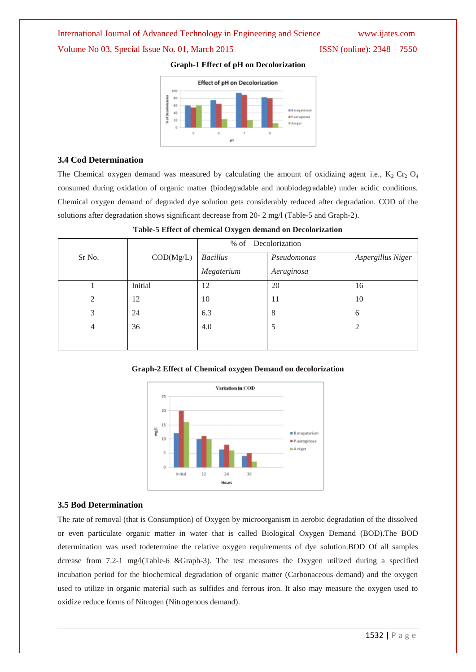# Volume No 03, Special Issue No. 01, March 2015 ISSN (online): 2348 – 7550



**Graph-1 Effect of pH on Decolorization**

# **3.4 Cod Determination**

The Chemical oxygen demand was measured by calculating the amount of oxidizing agent i.e.,  $K_2$  Cr<sub>2</sub> O<sub>4</sub> consumed during oxidation of organic matter (biodegradable and nonbiodegradable) under acidic conditions. Chemical oxygen demand of degraded dye solution gets considerably reduced after degradation. COD of the solutions after degradation shows significant decrease from 20- 2 mg/l (Table-5 and Graph-2).

|        |           | % of Decolorization |             |                   |  |
|--------|-----------|---------------------|-------------|-------------------|--|
| Sr No. | COD(Mg/L) | <b>Bacillus</b>     | Pseudomonas | Aspergillus Niger |  |
|        |           | Megaterium          | Aeruginosa  |                   |  |
|        | Initial   | 12                  | 20          | 16                |  |
| 2      | 12        | 10                  | 11          | 10                |  |
| 3      | 24        | 6.3                 | 8           | 6                 |  |
| 4      | 36        | 4.0                 | 5           | $\overline{2}$    |  |
|        |           |                     |             |                   |  |

**Table-5 Effect of chemical Oxygen demand on Decolorization**

### **Graph-2 Effect of Chemical oxygen Demand on decolorization**



# **3.5 Bod Determination**

The rate of removal (that is Consumption) of Oxygen by microorganism in aerobic degradation of the dissolved or even particulate organic matter in water that is called Biological Oxygen Demand (BOD).The BOD determination was used todetermine the relative oxygen requirements of dye solution.BOD Of all samples dcrease from 7.2-1 mg/l(Table-6 &Graph-3). The test measures the Oxygen utilized during a specified incubation period for the biochemical degradation of organic matter (Carbonaceous demand) and the oxygen used to utilize in organic material such as sulfides and ferrous iron. It also may measure the oxygen used to oxidize reduce forms of Nitrogen (Nitrogenous demand).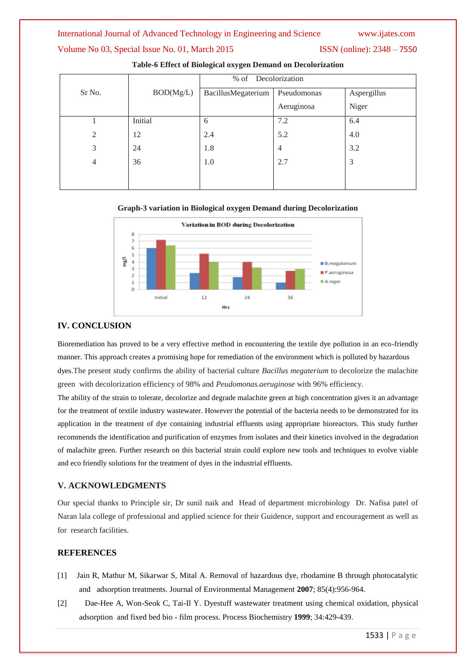# Volume No 03, Special Issue No. 01, March 2015 ISSN (online): 2348 – 7550

|                |           | Decolorization<br>$%$ of |                |             |  |  |
|----------------|-----------|--------------------------|----------------|-------------|--|--|
| Sr No.         | BOD(Mg/L) | BacillusMegaterium       | Pseudomonas    | Aspergillus |  |  |
|                |           |                          | Aeruginosa     | Niger       |  |  |
|                | Initial   | 6                        | 7.2            | 6.4         |  |  |
| 2              | 12        | 2.4                      | 5.2            | 4.0         |  |  |
| 3              | 24        | 1.8                      | $\overline{4}$ | 3.2         |  |  |
| $\overline{4}$ | 36        | 1.0                      | 2.7            | 3           |  |  |
|                |           |                          |                |             |  |  |
|                |           |                          |                |             |  |  |

**Table-6 Effect of Biological oxygen Demand on Decolorization**

#### **Graph-3 variation in Biological oxygen Demand during Decolorization**



### **IV. CONCLUSION**

Bioremediation has proved to be a very effective method in encountering the textile dye pollution in an eco-friendly manner. This approach creates a promising hope for remediation of the environment which is polluted by hazardous dyes.The present study confirms the ability of bacterial culture *Bacillus megaterium* to decolorize the malachite green with decolorization efficiency of 98% and *Peudomonas.aeruginose* with 96% efficiency.

The ability of the strain to tolerate, decolorize and degrade malachite green at high concentration gives it an advantage for the treatment of textile industry wastewater. However the potential of the bacteria needs to be demonstrated for its application in the treatment of dye containing industrial effluents using appropriate bioreactors. This study further recommends the identification and purification of enzymes from isolates and their kinetics involved in the degradation of malachite green. Further research on this bacterial strain could explore new tools and techniques to evolve viable and eco friendly solutions for the treatment of dyes in the industrial effluents.

### **V. ACKNOWLEDGMENTS**

Our special thanks to Principle sir, Dr sunil naik and Head of department microbiology Dr. Nafisa patel of Naran lala college of professional and applied science for their Guidence, support and encouragement as well as for research facilities.

### **REFERENCES**

- [1] Jain R, Mathur M, Sikarwar S, Mital A. Removal of hazardous dye, rhodamine B through photocatalytic and adsorption treatments. Journal of Environmental Management **2007**; 85(4):956-964.
- [2] Dae-Hee A, Won-Seok C, Tai-Il Y. Dyestuff wastewater treatment using chemical oxidation, physical adsorption and fixed bed bio - film process. Process Biochemistry **1999**; 34:429-439.